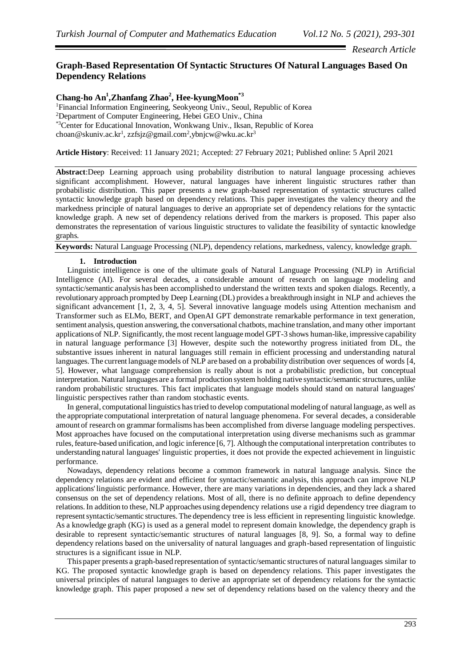*Research Article*

# **Graph-Based Representation Of Syntactic Structures Of Natural Languages Based On Dependency Relations**

# **Chang-ho An<sup>1</sup> ,Zhanfang Zhao<sup>2</sup> , Hee-kyungMoon\*3**

<sup>1</sup>Financial Information Engineering, Seokyeong Univ., Seoul, Republic of Korea <sup>2</sup>Department of Computer Engineering, Hebei GEO Univ., China \*3Center for Educational Innovation, Wonkwang Univ., Iksan, Republic of Korea choan@skuniv.ac.kr<sup>1</sup>, zzfsjz@gmail.com<sup>2</sup>[,ybnjcw@wku.ac.kr](mailto:yypark@sunmoon.ac.kr*2(Corresponding)<sup>3</sup>

**Article History**: Received: 11 January 2021; Accepted: 27 February 2021; Published online: 5 April 2021

**Abstract**:Deep Learning approach using probability distribution to natural language processing achieves significant accomplishment. However, natural languages have inherent linguistic structures rather than probabilistic distribution. This paper presents a new graph-based representation of syntactic structures called syntactic knowledge graph based on dependency relations. This paper investigates the valency theory and the markedness principle of natural languages to derive an appropriate set of dependency relations for the syntactic knowledge graph. A new set of dependency relations derived from the markers is proposed. This paper also demonstrates the representation of various linguistic structures to validate the feasibility of syntactic knowledge graphs.

# **Keywords:** Natural Language Processing (NLP), dependency relations, markedness, valency, knowledge graph.

### **1. Introduction**

Linguistic intelligence is one of the ultimate goals of Natural Language Processing (NLP) in Artificial Intelligence (AI). For several decades, a considerable amount of research on language modeling and syntactic/semantic analysis has been accomplished to understand the written texts and spoken dialogs. Recently, a revolutionary approach prompted by Deep Learning (DL) provides a breakthrough insight in NLP and achieves the significant advancement [1, 2, 3, 4, 5]. Several innovative language models using Attention mechanism and Transformer such as ELMo, BERT, and OpenAI GPT demonstrate remarkable performance in text generation, sentiment analysis, question answering, the conversational chatbots, machine translation, and many other important applications of NLP. Significantly, the most recent language model GPT-3 shows human-like, impressive capability in natural language performance [3] However, despite such the noteworthy progress initiated from DL, the substantive issues inherent in natural languages still remain in efficient processing and understanding natural languages. The current language models of NLP are based on a probability distribution over sequences of words [4, 5]. However, what language comprehension is really about is not a probabilistic prediction, but conceptual interpretation. Natural languages are a formal production system holding native syntactic/semantic structures, unlike random probabilistic structures. This fact implicates that language models should stand on natural languages' linguistic perspectives rather than random stochastic events.

In general, computational linguistics has tried to develop computational modeling of natural language, as well as the appropriate computational interpretation of natural language phenomena. For several decades, a considerable amount of research on grammar formalisms has been accomplished from diverse language modeling perspectives. Most approaches have focused on the computational interpretation using diverse mechanisms such as grammar rules, feature-based unification, and logic inference [6, 7]. Although the computational interpretation contributes to understanding natural languages' linguistic properties, it does not provide the expected achievement in linguistic performance.

Nowadays, dependency relations become a common framework in natural language analysis. Since the dependency relations are evident and efficient for syntactic/semantic analysis, this approach can improve NLP applications' linguistic performance. However, there are many variations in dependencies, and they lack a shared consensus on the set of dependency relations. Most of all, there is no definite approach to define dependency relations. In addition to these, NLP approaches using dependency relations use a rigid dependency tree diagram to represent syntactic/semantic structures. The dependency tree is less efficient in representing linguistic knowledge. As a knowledge graph (KG) is used as a general model to represent domain knowledge, the dependency graph is desirable to represent syntactic/semantic structures of natural languages [8, 9]. So, a formal way to define dependency relations based on the universality of natural languages and graph-based representation of linguistic structures is a significant issue in NLP.

This paper presents a graph-based representation of syntactic/semantic structures of natural languages similar to KG. The proposed syntactic knowledge graph is based on dependency relations. This paper investigates the universal principles of natural languages to derive an appropriate set of dependency relations for the syntactic knowledge graph. This paper proposed a new set of dependency relations based on the valency theory and the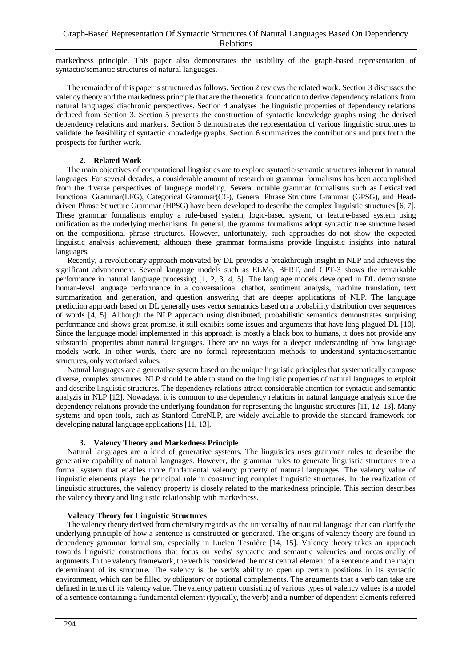markedness principle. This paper also demonstrates the usability of the graph-based representation of syntactic/semantic structures of natural languages.

The remainder of this paper is structured as follows. Section 2 reviews the related work. Section 3 discusses the valency theory and the markedness principle that are the theoretical foundation to derive dependency relations from natural languages' diachronic perspectives. Section 4 analyses the linguistic properties of dependency relations deduced from Section 3. Section 5 presents the construction of syntactic knowledge graphs using the derived dependency relations and markers. Section 5 demonstrates the representation of various linguistic structures to validate the feasibility of syntactic knowledge graphs. Section 6 summarizes the contributions and puts forth the prospects for further work.

### **2. Related Work**

The main objectives of computational linguistics are to explore syntactic/semantic structures inherent in natural languages. For several decades, a considerable amount of research on grammar formalisms has been accomplished from the diverse perspectives of language modeling. Several notable grammar formalisms such as Lexicalized Functional Grammar(LFG), Categorical Grammar(CG), General Phrase Structure Grammar (GPSG), and Headdriven Phrase Structure Grammar (HPSG) have been developed to describe the complex linguistic structures [6, 7]. These grammar formalisms employ a rule-based system, logic-based system, or feature-based system using unification as the underlying mechanisms. In general, the gramma formalisms adopt syntactic tree structure based on the compositional phrase structures. However, unfortunately, such approaches do not show the expected linguistic analysis achievement, although these grammar formalisms provide linguistic insights into natural languages.

Recently, a revolutionary approach motivated by DL provides a breakthrough insight in NLP and achieves the significant advancement. Several language models such as ELMo, BERT, and GPT-3 shows the remarkable performance in natural language processing [1, 2, 3, 4, 5]. The language models developed in DL demonstrate human-level language performance in a conversational chatbot, sentiment analysis, machine translation, text summarization and generation, and question answering that are deeper applications of NLP. The language prediction approach based on DL generally uses vector semantics based on a probability distribution over sequences of words [4, 5]. Although the NLP approach using distributed, probabilistic semantics demonstrates surprising performance and shows great promise, it still exhibits some issues and arguments that have long plagued DL [10]. Since the language model implemented in this approach is mostly a black box to humans, it does not provide any substantial properties about natural languages. There are no ways for a deeper understanding of how language models work. In other words, there are no formal representation methods to understand syntactic/semantic structures, only vectorised values.

Natural languages are a generative system based on the unique linguistic principles that systematically compose diverse, complex structures. NLP should be able to stand on the linguistic properties of natural languages to exploit and describe linguistic structures. The dependency relations attract considerable attention for syntactic and semantic analyzis in NLP [12]. Nowadays, it is common to use dependency relations in natural language analysis since the dependency relations provide the underlying foundation for representing the linguistic structures [11, 12, 13]. Many systems and open tools, such as Stanford CoreNLP, are widely available to provide the standard framework for developing natural language applications [11, 13].

### **3. Valency Theory and Markedness Principle**

Natural languages are a kind of generative systems. The linguistics uses grammar rules to describe the generative capability of natural languages. However, the grammar rules to generate linguistic structures are a formal system that enables more fundamental valency property of natural languages. The valency value of linguistic elements plays the principal role in constructing complex linguistic structures. In the realization of linguistic structures, the valency property is closely related to the markedness principle. This section describes the valency theory and linguistic relationship with markedness.

### **Valency Theory for Linguistic Structures**

The valency theory derived from chemistry regards as the universality of natural language that can clarify the underlying principle of how a sentence is constructed or generated. The origins of valency theory are found in dependency grammar formalism, especially in Lucien Tesnière [14, 15]. Valency theory takes an approach towards linguistic constructions that focus on verbs' syntactic and semantic valencies and occasionally of arguments. In the valency framework, the verb is considered the most central element of a sentence and the major determinant of its structure. The valency is the verb's ability to open up certain positions in its syntactic environment, which can be filled by obligatory or optional complements. The arguments that a verb can take are defined in terms of its valency value. The valency pattern consisting of various types of valency values is a model of a sentence containing a fundamental element (typically, the verb) and a number of dependent elements referred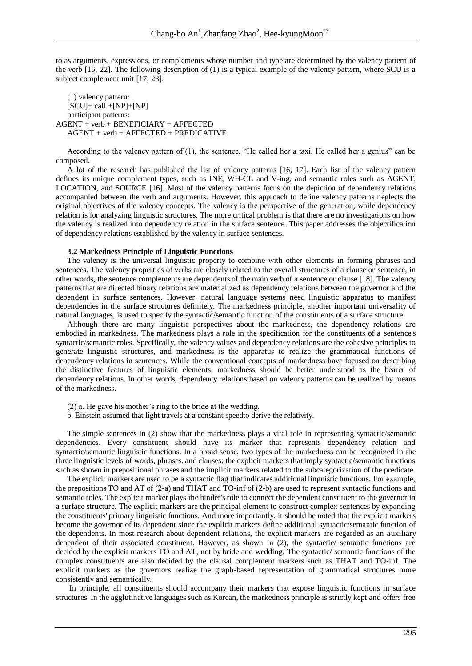to as arguments, expressions, or complements whose number and type are determined by the valency pattern of the verb [16, 22]. The following description of (1) is a typical example of the valency pattern, where SCU is a subject complement unit [17, 23].

#### (1) valency pattern:  $[SCU]+ call + [NP]+[NP]$ participant patterns: AGENT + verb + BENEFICIARY + AFFECTED AGENT + verb + AFFECTED + PREDICATIVE

According to the valency pattern of (1), the sentence, "He called her a taxi. He called her a genius" can be composed.

A lot of the research has published the list of valency patterns [16, 17]. Each list of the valency pattern defines its unique complement types, such as INF, WH-CL and V-ing, and semantic roles such as AGENT, LOCATION, and SOURCE [16]. Most of the valency patterns focus on the depiction of dependency relations accompanied between the verb and arguments. However, this approach to define valency patterns neglects the original objectives of the valency concepts. The valency is the perspective of the generation, while dependency relation is for analyzing linguistic structures. The more critical problem is that there are no investigations on how the valency is realized into dependency relation in the surface sentence. This paper addresses the objectification of dependency relations established by the valency in surface sentences.

#### **3.2 Markedness Principle of Linguistic Functions**

The valency is the universal linguistic property to combine with other elements in forming phrases and sentences. The valency properties of verbs are closely related to the overall structures of a clause or sentence, in other words, the sentence complements are dependents of the main verb of a sentence or clause [18]. The valency patterns that are directed binary relations are materialized as dependency relations between the governor and the dependent in surface sentences. However, natural language systems need linguistic apparatus to manifest dependencies in the surface structures definitely. The markedness principle, another important universality of natural languages, is used to specify the syntactic/semantic function of the constituents of a surface structure.

Although there are many linguistic perspectives about the markedness, the dependency relations are embodied in markedness. The markedness plays a role in the specification for the constituents of a sentence's syntactic/semantic roles. Specifically, the valency values and dependency relations are the cohesive principles to generate linguistic structures, and markedness is the apparatus to realize the grammatical functions of dependency relations in sentences. While the conventional concepts of markedness have focused on describing the distinctive features of linguistic elements, markedness should be better understood as the bearer of dependency relations. In other words, dependency relations based on valency patterns can be realized by means of the markedness.

- (2) a. He gave his mother's ring to the bride at the wedding.
- b. Einstein assumed that light travels at a constant speedto derive the relativity.

The simple sentences in (2) show that the markedness plays a vital role in representing syntactic/semantic dependencies. Every constituent should have its marker that represents dependency relation and syntactic/semantic linguistic functions. In a broad sense, two types of the markedness can be recognized in the three linguistic levels of words, phrases, and clauses: the explicit markers that imply syntactic/semantic functions such as shown in prepositional phrases and the implicit markers related to the subcategorization of the predicate.

The explicit markers are used to be a syntactic flag that indicates additional linguistic functions. For example, the prepositions TO and AT of (2-a) and THAT and TO-inf of (2-b) are used to represent syntactic functions and semantic roles. The explicit marker plays the binder's role to connect the dependent constituent to the governor in a surface structure. The explicit markers are the principal element to construct complex sentences by expanding the constituents' primary linguistic functions. And more importantly, it should be noted that the explicit markers become the governor of its dependent since the explicit markers define additional syntactic/semantic function of the dependents. In most research about dependent relations, the explicit markers are regarded as an auxiliary dependent of their associated constituent. However, as shown in (2), the syntactic/ semantic functions are decided by the explicit markers TO and AT, not by bride and wedding. The syntactic/ semantic functions of the complex constituents are also decided by the clausal complement markers such as THAT and TO-inf. The explicit markers as the governors realize the graph-based representation of grammatical structures more consistently and semantically.

In principle, all constituents should accompany their markers that expose linguistic functions in surface structures. In the agglutinative languages such as Korean, the markedness principle is strictly kept and offers free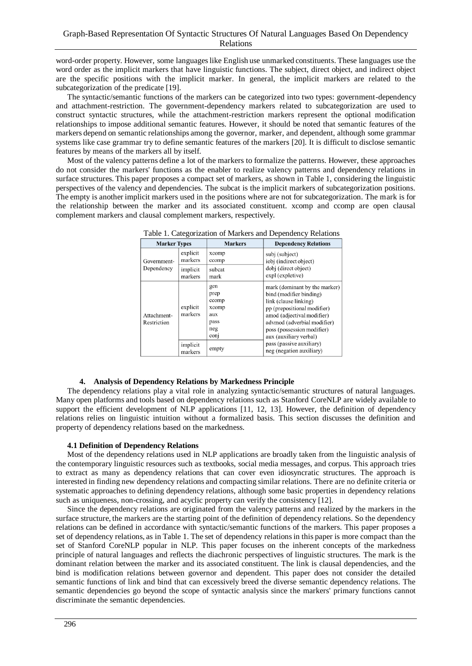word-order property. However, some languages like English use unmarked constituents. These languages use the word order as the implicit markers that have linguistic functions. The subject, direct object, and indirect object are the specific positions with the implicit marker. In general, the implicit markers are related to the subcategorization of the predicate [19].

The syntactic/semantic functions of the markers can be categorized into two types: government-dependency and attachment-restriction. The government-dependency markers related to subcategorization are used to construct syntactic structures, while the attachment-restriction markers represent the optional modification relationships to impose additional semantic features. However, it should be noted that semantic features of the markers depend on semantic relationships among the governor, marker, and dependent, although some grammar systems like case grammar try to define semantic features of the markers [20]. It is difficult to disclose semantic features by means of the markers all by itself.

Most of the valency patterns define a lot of the markers to formalize the patterns. However, these approaches do not consider the markers' functions as the enabler to realize valency patterns and dependency relations in surface structures. This paper proposes a compact set of markers, as shown in Table 1, considering the linguistic perspectives of the valency and dependencies. The subcat is the implicit markers of subcategorization positions. The empty is another implicit markers used in the positions where are not for subcategorization. The mark is for the relationship between the marker and its associated constituent. xcomp and ccomp are open clausal complement markers and clausal complement markers, respectively.

| ▱                          |                     |                                                             |                                                                                                                                                                                                                                                                                               |
|----------------------------|---------------------|-------------------------------------------------------------|-----------------------------------------------------------------------------------------------------------------------------------------------------------------------------------------------------------------------------------------------------------------------------------------------|
| <b>Marker Types</b>        |                     | <b>Markers</b>                                              | <b>Dependency Relations</b>                                                                                                                                                                                                                                                                   |
| Government-<br>Dependency  | explicit<br>markers | xcomp<br>ccomp                                              | subj (subject)<br>iobj (indirect object)<br>dobj (direct object)<br>expl (expletive)                                                                                                                                                                                                          |
|                            | implicit<br>markers | subcat<br>mark                                              |                                                                                                                                                                                                                                                                                               |
| Attachment-<br>Restriction | explicit<br>markers | gen<br>prep<br>ccomp<br>xcomp<br>aux<br>pass<br>neg<br>conj | mark (dominant by the marker)<br>bind (modifier binding)<br>link (clause linking)<br>pp (prepositional modifier)<br>amod (adjectival modifier)<br>advmod (adverbial modifier)<br>poss (possession modifier)<br>aux (auxiliary verbal)<br>pass (passive auxiliary)<br>neg (negation auxiliary) |
|                            | implicit<br>markers | empty                                                       |                                                                                                                                                                                                                                                                                               |

Table 1. Categorization of Markers and Dependency Relations

#### **4. Analysis of Dependency Relations by Markedness Principle**

The dependency relations play a vital role in analyzing syntactic/semantic structures of natural languages. Many open platforms and tools based on dependency relations such as Stanford CoreNLP are widely available to support the efficient development of NLP applications [11, 12, 13]. However, the definition of dependency relations relies on linguistic intuition without a formalized basis. This section discusses the definition and property of dependency relations based on the markedness.

#### **4.1 Definition of Dependency Relations**

Most of the dependency relations used in NLP applications are broadly taken from the linguistic analysis of the contemporary linguistic resources such as textbooks, social media messages, and corpus. This approach tries to extract as many as dependency relations that can cover even idiosyncratic structures. The approach is interested in finding new dependency relations and compacting similar relations. There are no definite criteria or systematic approaches to defining dependency relations, although some basic properties in dependency relations such as uniqueness, non-crossing, and acyclic property can verify the consistency [12].

Since the dependency relations are originated from the valency patterns and realized by the markers in the surface structure, the markers are the starting point of the definition of dependency relations. So the dependency relations can be defined in accordance with syntactic/semantic functions of the markers. This paper proposes a set of dependency relations, as in Table 1. The set of dependency relations in this paper is more compact than the set of Stanford CoreNLP popular in NLP. This paper focuses on the inherent concepts of the markedness principle of natural languages and reflects the diachronic perspectives of linguistic structures. The mark is the dominant relation between the marker and its associated constituent. The link is clausal dependencies, and the bind is modification relations between governor and dependent. This paper does not consider the detailed semantic functions of link and bind that can excessively breed the diverse semantic dependency relations. The semantic dependencies go beyond the scope of syntactic analysis since the markers' primary functions cannot discriminate the semantic dependencies.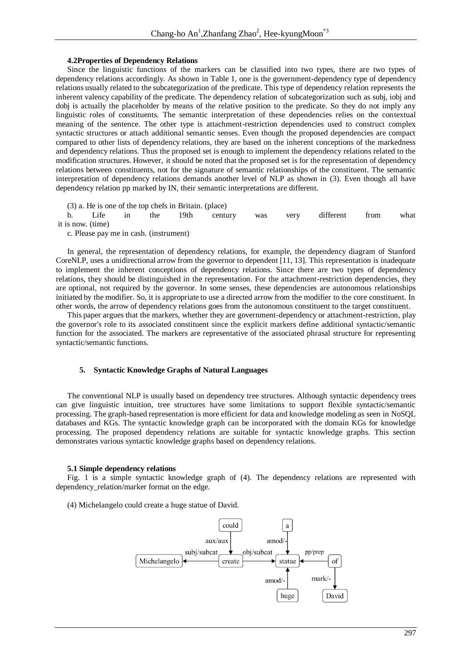### **4.2Properties of Dependency Relations**

Since the linguistic functions of the markers can be classified into two types, there are two types of dependency relations accordingly. As shown in Table 1, one is the government-dependency type of dependency relations usually related to the subcategorization of the predicate. This type of dependency relation represents the inherent valency capability of the predicate. The dependency relation of subcategorization such as subj, iobj and dobj is actually the placeholder by means of the relative position to the predicate. So they do not imply any linguistic roles of constituents. The semantic interpretation of these dependencies relies on the contextual meaning of the sentence. The other type is attachment-restriction dependencies used to construct complex syntactic structures or attach additional semantic senses. Even though the proposed dependencies are compact compared to other lists of dependency relations, they are based on the inherent conceptions of the markedness and dependency relations. Thus the proposed set is enough to implement the dependency relations related to the modification structures. However, it should be noted that the proposed set is for the representation of dependency relations between constituents, not for the signature of semantic relationships of the constituent. The semantic interpretation of dependency relations demands another level of NLP as shown in (3). Even though all have dependency relation pp marked by IN, their semantic interpretations are different.

(3) a. He is one of the top chefs in Britain. (place)

b. Life in the 19th century was very different from what it is now. (time)

c. Please pay me in cash. (instrument)

In general, the representation of dependency relations, for example, the dependency diagram of Stanford CoreNLP, uses a unidirectional arrow from the governor to dependent [11, 13]. This representation is inadequate to implement the inherent conceptions of dependency relations. Since there are two types of dependency relations, they should be distinguished in the representation. For the attachment-restriction dependencies, they are optional, not required by the governor. In some senses, these dependencies are autonomous relationships initiated by the modifier. So, it is appropriate to use a directed arrow from the modifier to the core constituent. In other words, the arrow of dependency relations goes from the autonomous constituent to the target constituent.

This paper argues that the markers, whether they are government-dependency or attachment-restriction, play the governor's role to its associated constituent since the explicit markers define additional syntactic/semantic function for the associated. The markers are representative of the associated phrasal structure for representing syntactic/semantic functions.

#### **5. Syntactic Knowledge Graphs of Natural Languages**

The conventional NLP is usually based on dependency tree structures. Although syntactic dependency trees can give linguistic intuition, tree structures have some limitations to support flexible syntactic/semantic processing. The graph-based representation is more efficient for data and knowledge modeling as seen in NoSQL databases and KGs. The syntactic knowledge graph can be incorporated with the domain KGs for knowledge processing. The proposed dependency relations are suitable for syntactic knowledge graphs. This section demonstrates various syntactic knowledge graphs based on dependency relations.

#### **5.1 Simple dependency relations**

Fig. 1 is a simple syntactic knowledge graph of (4). The dependency relations are represented with dependency\_relation/marker format on the edge.

(4) Michelangelo could create a huge statue of David.

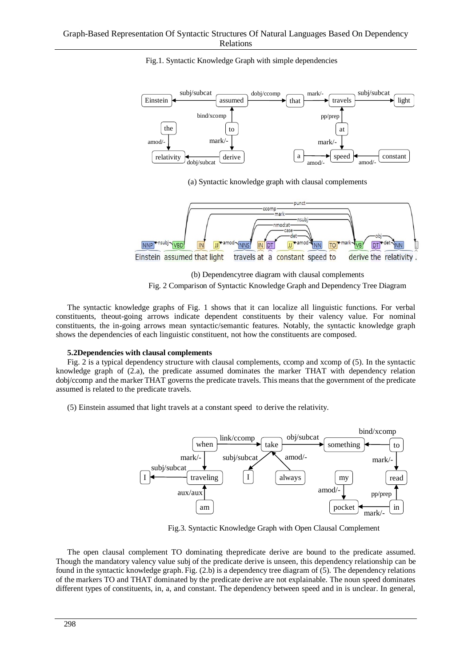

Fig.1. Syntactic Knowledge Graph with simple dependencies

(a) Syntactic knowledge graph with clausal complements



(b) Dependencytree diagram with clausal complements Fig. 2 Comparison of Syntactic Knowledge Graph and Dependency Tree Diagram

The syntactic knowledge graphs of Fig. 1 shows that it can localize all linguistic functions. For verbal constituents, theout-going arrows indicate dependent constituents by their valency value. For nominal constituents, the in-going arrows mean syntactic/semantic features. Notably, the syntactic knowledge graph shows the dependencies of each linguistic constituent, not how the constituents are composed.

#### **5.2Dependencies with clausal complements**

Fig. 2 is a typical dependency structure with clausal complements, ccomp and xcomp of (5). In the syntactic knowledge graph of (2.a), the predicate assumed dominates the marker THAT with dependency relation dobj/ccomp and the marker THAT governs the predicate travels. This means that the government of the predicate assumed is related to the predicate travels.

(5) Einstein assumed that light travels at a constant speed to derive the relativity.



Fig.3. Syntactic Knowledge Graph with Open Clausal Complement

The open clausal complement TO dominating thepredicate derive are bound to the predicate assumed. Though the mandatory valency value subj of the predicate derive is unseen, this dependency relationship can be found in the syntactic knowledge graph. Fig. (2.b) is a dependency tree diagram of (5). The dependency relations of the markers TO and THAT dominated by the predicate derive are not explainable. The noun speed dominates different types of constituents, in, a, and constant. The dependency between speed and in is unclear. In general,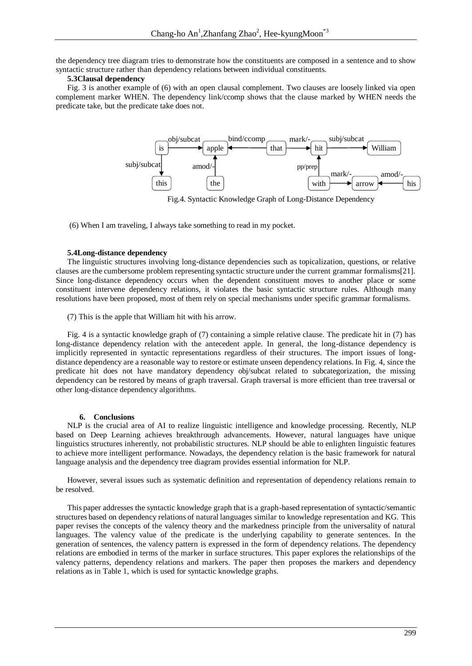the dependency tree diagram tries to demonstrate how the constituents are composed in a sentence and to show syntactic structure rather than dependency relations between individual constituents.

#### **5.3Clausal dependency**

Fig. 3 is another example of (6) with an open clausal complement. Two clauses are loosely linked via open complement marker WHEN. The dependency link/ccomp shows that the clause marked by WHEN needs the predicate take, but the predicate take does not.



Fig.4. Syntactic Knowledge Graph of Long-Distance Dependency

(6) When I am traveling, I always take something to read in my pocket.

### **5.4Long-distance dependency**

The linguistic structures involving long-distance dependencies such as topicalization, questions, or relative clauses are the cumbersome problem representing syntactic structure under the current grammar formalisms[21]. Since long-distance dependency occurs when the dependent constituent moves to another place or some constituent intervene dependency relations, it violates the basic syntactic structure rules. Although many resolutions have been proposed, most of them rely on special mechanisms under specific grammar formalisms.

(7) This is the apple that William hit with his arrow.

Fig. 4 is a syntactic knowledge graph of (7) containing a simple relative clause. The predicate hit in (7) has long-distance dependency relation with the antecedent apple. In general, the long-distance dependency is implicitly represented in syntactic representations regardless of their structures. The import issues of longdistance dependency are a reasonable way to restore or estimate unseen dependency relations. In Fig. 4, since the predicate hit does not have mandatory dependency obj/subcat related to subcategorization, the missing dependency can be restored by means of graph traversal. Graph traversal is more efficient than tree traversal or other long-distance dependency algorithms.

#### **6. Conclusions**

NLP is the crucial area of AI to realize linguistic intelligence and knowledge processing. Recently, NLP based on Deep Learning achieves breakthrough advancements. However, natural languages have unique linguistics structures inherently, not probabilistic structures. NLP should be able to enlighten linguistic features to achieve more intelligent performance. Nowadays, the dependency relation is the basic framework for natural language analysis and the dependency tree diagram provides essential information for NLP.

However, several issues such as systematic definition and representation of dependency relations remain to be resolved.

This paper addresses the syntactic knowledge graph that is a graph-based representation of syntactic/semantic structures based on dependency relations of natural languages similar to knowledge representation and KG. This paper revises the concepts of the valency theory and the markedness principle from the universality of natural languages. The valency value of the predicate is the underlying capability to generate sentences. In the generation of sentences, the valency pattern is expressed in the form of dependency relations. The dependency relations are embodied in terms of the marker in surface structures. This paper explores the relationships of the valency patterns, dependency relations and markers. The paper then proposes the markers and dependency relations as in Table 1, which is used for syntactic knowledge graphs.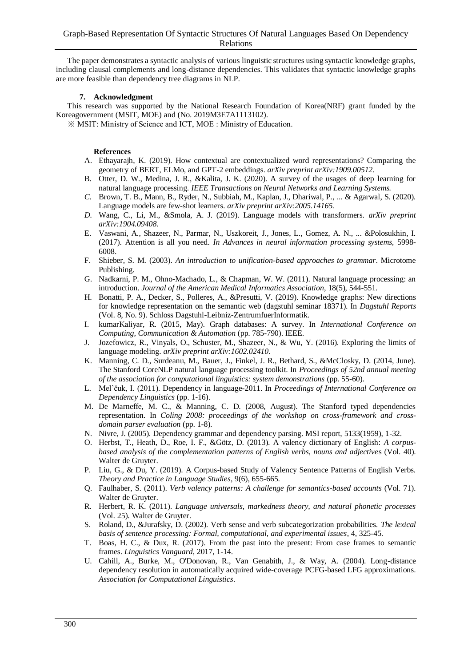The paper demonstrates a syntactic analysis of various linguistic structures using syntactic knowledge graphs, including clausal complements and long-distance dependencies. This validates that syntactic knowledge graphs are more feasible than dependency tree diagrams in NLP.

### **7. Acknowledgment**

This research was supported by the National Research Foundation of Korea(NRF) grant funded by the Koreagovernment (MSIT, MOE) and (No. 2019M3E7A1113102).

※ MSIT: Ministry of Science and ICT, MOE : Ministry of Education.

## **References**

- A. Ethayarajh, K. (2019). How contextual are contextualized word representations? Comparing the geometry of BERT, ELMo, and GPT-2 embeddings. *arXiv preprint arXiv:1909.00512*.
- B. Otter, D. W., Medina, J. R., &Kalita, J. K. (2020). A survey of the usages of deep learning for natural language processing. *IEEE Transactions on Neural Networks and Learning Systems.*
- *C.* Brown, T. B., Mann, B., Ryder, N., Subbiah, M., Kaplan, J., Dhariwal, P., ... & Agarwal, S. (2020). Language models are few-shot learners. *arXiv preprint arXiv:2005.14165.*
- *D.* Wang, C., Li, M., &Smola, A. J. (2019). Language models with transformers. *arXiv preprint arXiv:1904.09408.*
- E. Vaswani, A., Shazeer, N., Parmar, N., Uszkoreit, J., Jones, L., Gomez, A. N., ... &Polosukhin, I. (2017). Attention is all you need. *In Advances in neural information processing systems,* 5998- 6008.
- F. Shieber, S. M. (2003). *An introduction to unification-based approaches to grammar*. Microtome Publishing.
- G. Nadkarni, P. M., Ohno-Machado, L., & Chapman, W. W. (2011). Natural language processing: an introduction. *Journal of the American Medical Informatics Association*, 18(5), 544-551.
- H. Bonatti, P. A., Decker, S., Polleres, A., &Presutti, V. (2019). Knowledge graphs: New directions for knowledge representation on the semantic web (dagstuhl seminar 18371). In *Dagstuhl Reports* (Vol. 8, No. 9). Schloss Dagstuhl-Leibniz-ZentrumfuerInformatik.
- I. kumarKaliyar, R. (2015, May). Graph databases: A survey. In *International Conference on Computing, Communication & Automation* (pp. 785-790). IEEE.
- J. Jozefowicz, R., Vinyals, O., Schuster, M., Shazeer, N., & Wu, Y. (2016). Exploring the limits of language modeling. *arXiv preprint arXiv:1602.02410.*
- K. Manning, C. D., Surdeanu, M., Bauer, J., Finkel, J. R., Bethard, S., &McClosky, D. (2014, June). The Stanford CoreNLP natural language processing toolkit. In *Proceedings of 52nd annual meeting of the association for computational linguistics: system demonstrations* (pp. 55-60).
- L. Mel'čuk, I. (2011). Dependency in language-2011. In *Proceedings of International Conference on Dependency Linguistics* (pp. 1-16).
- M. De Marneffe, M. C., & Manning, C. D. (2008, August). The Stanford typed dependencies representation. In *Coling 2008: proceedings of the workshop on cross-framework and crossdomain parser evaluation* (pp. 1-8).
- N. Nivre, J. (2005). Dependency grammar and dependency parsing. MSI report, 5133(1959), 1-32.
- O. Herbst, T., Heath, D., Roe, I. F., &Götz, D. (2013). A valency dictionary of English: *A corpusbased analysis of the complementation patterns of English verbs, nouns and adjective*s (Vol. 40). Walter de Gruyter.
- P. Liu, G., & Du, Y. (2019). A Corpus-based Study of Valency Sentence Patterns of English Verbs. *Theory and Practice in Language Studies*, 9(6), 655-665.
- Q. Faulhaber, S. (2011). *Verb valency patterns: A challenge for semantics-based accounts* (Vol. 71). Walter de Gruyter.
- R. Herbert, R. K. (2011). *Language universals, markedness theory, and natural phonetic processes* (Vol. 25). Walter de Gruyter.
- S. Roland, D., &Jurafsky, D. (2002). Verb sense and verb subcategorization probabilities. *The lexical basis of sentence processing: Formal, computational, and experimental issues*, 4, 325-45.
- T. Boas, H. C., & Dux, R. (2017). From the past into the present: From case frames to semantic frames. *Linguistics Vanguard*, 2017, 1-14.
- U. Cahill, A., Burke, M., O'Donovan, R., Van Genabith, J., & Way, A. (2004). Long-distance dependency resolution in automatically acquired wide-coverage PCFG-based LFG approximations. *Association for Computational Linguistics*.